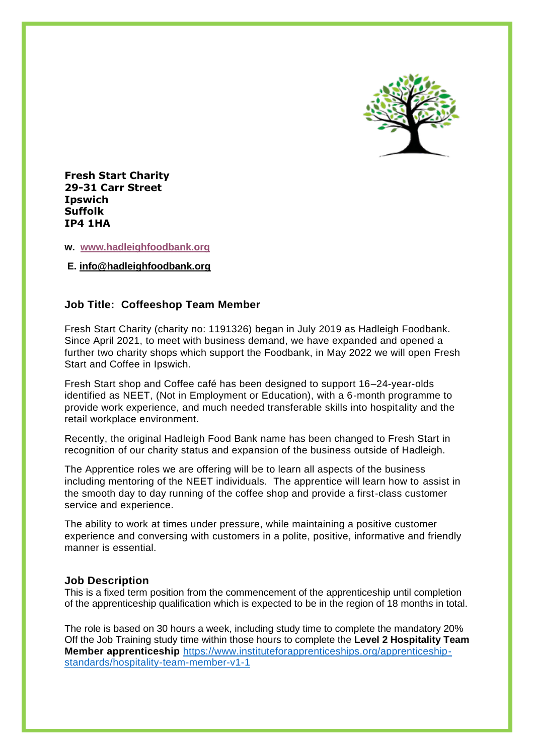

**Fresh Start Charity 29-31 Carr Street Ipswich Suffolk IP4 1HA**

#### **w. [www.hadleighfoodbank.org](http://www.hadleighfoodbank.org/)**

**E. [info@hadleighfoodbank.org](mailto:info@hadleighfoodbank.org)**

# **Job Title: Coffeeshop Team Member**

Fresh Start Charity (charity no: 1191326) began in July 2019 as Hadleigh Foodbank. Since April 2021, to meet with business demand, we have expanded and opened a further two charity shops which support the Foodbank, in May 2022 we will open Fresh Start and Coffee in Ipswich.

Fresh Start shop and Coffee café has been designed to support 16–24-year-olds identified as NEET, (Not in Employment or Education), with a 6-month programme to provide work experience, and much needed transferable skills into hospitality and the retail workplace environment.

Recently, the original Hadleigh Food Bank name has been changed to Fresh Start in recognition of our charity status and expansion of the business outside of Hadleigh.

The Apprentice roles we are offering will be to learn all aspects of the business including mentoring of the NEET individuals. The apprentice will learn how to assist in the smooth day to day running of the coffee shop and provide a first-class customer service and experience.

The ability to work at times under pressure, while maintaining a positive customer experience and conversing with customers in a polite, positive, informative and friendly manner is essential.

### **Job Description**

This is a fixed term position from the commencement of the apprenticeship until completion of the apprenticeship qualification which is expected to be in the region of 18 months in total.

The role is based on 30 hours a week, including study time to complete the mandatory 20% Off the Job Training study time within those hours to complete the **Level 2 Hospitality Team Member apprenticeship** [https://www.instituteforapprenticeships.org/apprenticeship](https://www.instituteforapprenticeships.org/apprenticeship-standards/hospitality-team-member-v1-1)[standards/hospitality-team-member-v1-1](https://www.instituteforapprenticeships.org/apprenticeship-standards/hospitality-team-member-v1-1)